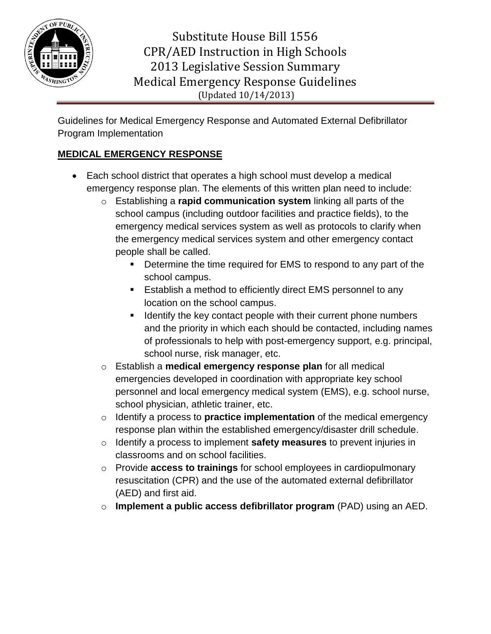

Guidelines for Medical Emergency Response and Automated External Defibrillator Program Implementation

### **MEDICAL EMERGENCY RESPONSE**

- Each school district that operates a high school must develop a medical emergency response plan. The elements of this written plan need to include:
	- o Establishing a **rapid communication system** linking all parts of the school campus (including outdoor facilities and practice fields), to the emergency medical services system as well as protocols to clarify when the emergency medical services system and other emergency contact people shall be called.
		- Determine the time required for EMS to respond to any part of the school campus.
		- **Establish a method to efficiently direct EMS personnel to any** location on the school campus.
		- **If Identify the key contact people with their current phone numbers** and the priority in which each should be contacted, including names of professionals to help with post-emergency support, e.g. principal, school nurse, risk manager, etc.
	- o Establish a **medical emergency response plan** for all medical emergencies developed in coordination with appropriate key school personnel and local emergency medical system (EMS), e.g. school nurse, school physician, athletic trainer, etc.
	- o Identify a process to **practice implementation** of the medical emergency response plan within the established emergency/disaster drill schedule.
	- o Identify a process to implement **safety measures** to prevent injuries in classrooms and on school facilities.
	- o Provide **access to trainings** for school employees in cardiopulmonary resuscitation (CPR) and the use of the automated external defibrillator (AED) and first aid.
	- o **Implement a public access defibrillator program** (PAD) using an AED.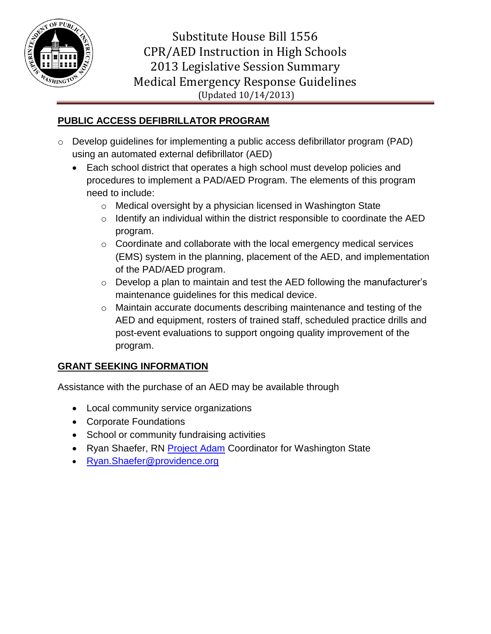

#### **PUBLIC ACCESS DEFIBRILLATOR PROGRAM**

- o Develop guidelines for implementing a public access defibrillator program (PAD) using an automated external defibrillator (AED)
	- Each school district that operates a high school must develop policies and procedures to implement a PAD/AED Program. The elements of this program need to include:
		- o Medical oversight by a physician licensed in Washington State
		- $\circ$  Identify an individual within the district responsible to coordinate the AED program.
		- o Coordinate and collaborate with the local emergency medical services (EMS) system in the planning, placement of the AED, and implementation of the PAD/AED program.
		- o Develop a plan to maintain and test the AED following the manufacturer's maintenance guidelines for this medical device.
		- o Maintain accurate documents describing maintenance and testing of the AED and equipment, rosters of trained staff, scheduled practice drills and post-event evaluations to support ongoing quality improvement of the program.

## **GRANT SEEKING INFORMATION**

Assistance with the purchase of an AED may be available through

- Local community service organizations
- Corporate Foundations
- School or community fundraising activities
- Ryan Shaefer, RN [Project Adam](https://www.chw.org/display/PPF/DocID/39728/router.asp) Coordinator for Washington State
- [Ryan.Shaefer@providence.org](mailto:Ryan.Shaefer@providence.org)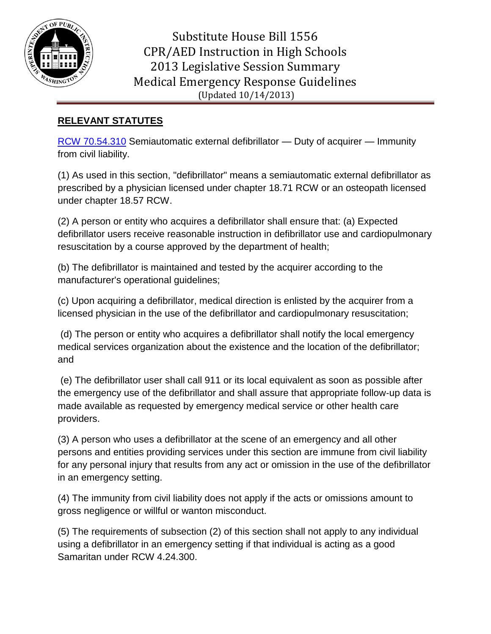

## **RELEVANT STATUTES**

[RCW 70.54.310](http://apps.leg.wa.gov/rcw/default.aspx?cite=70.54.310) Semiautomatic external defibrillator — Duty of acquirer — Immunity from civil liability.

(1) As used in this section, "defibrillator" means a semiautomatic external defibrillator as prescribed by a physician licensed under chapter 18.71 RCW or an osteopath licensed under chapter 18.57 RCW.

(2) A person or entity who acquires a defibrillator shall ensure that: (a) Expected defibrillator users receive reasonable instruction in defibrillator use and cardiopulmonary resuscitation by a course approved by the department of health;

(b) The defibrillator is maintained and tested by the acquirer according to the manufacturer's operational guidelines;

(c) Upon acquiring a defibrillator, medical direction is enlisted by the acquirer from a licensed physician in the use of the defibrillator and cardiopulmonary resuscitation;

(d) The person or entity who acquires a defibrillator shall notify the local emergency medical services organization about the existence and the location of the defibrillator; and

(e) The defibrillator user shall call 911 or its local equivalent as soon as possible after the emergency use of the defibrillator and shall assure that appropriate follow‐up data is made available as requested by emergency medical service or other health care providers.

(3) A person who uses a defibrillator at the scene of an emergency and all other persons and entities providing services under this section are immune from civil liability for any personal injury that results from any act or omission in the use of the defibrillator in an emergency setting.

(4) The immunity from civil liability does not apply if the acts or omissions amount to gross negligence or willful or wanton misconduct.

(5) The requirements of subsection (2) of this section shall not apply to any individual using a defibrillator in an emergency setting if that individual is acting as a good Samaritan under RCW 4.24.300.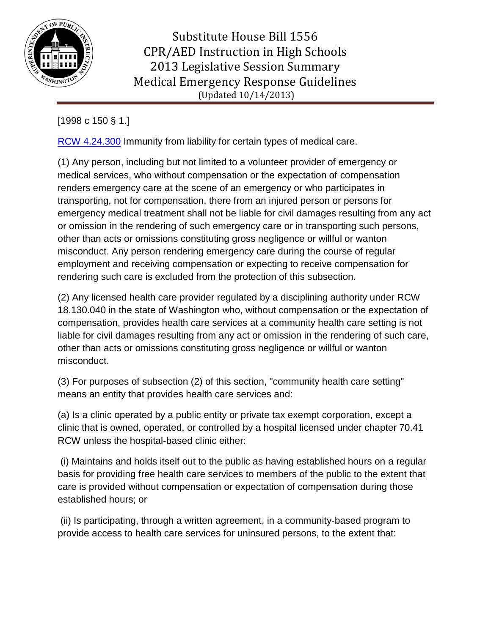

# [1998 c 150 § 1.]

[RCW 4.24.300](http://apps.leg.wa.gov/RCW/default.aspx?cite=4.24.300) Immunity from liability for certain types of medical care.

(1) Any person, including but not limited to a volunteer provider of emergency or medical services, who without compensation or the expectation of compensation renders emergency care at the scene of an emergency or who participates in transporting, not for compensation, there from an injured person or persons for emergency medical treatment shall not be liable for civil damages resulting from any act or omission in the rendering of such emergency care or in transporting such persons, other than acts or omissions constituting gross negligence or willful or wanton misconduct. Any person rendering emergency care during the course of regular employment and receiving compensation or expecting to receive compensation for rendering such care is excluded from the protection of this subsection.

(2) Any licensed health care provider regulated by a disciplining authority under RCW 18.130.040 in the state of Washington who, without compensation or the expectation of compensation, provides health care services at a community health care setting is not liable for civil damages resulting from any act or omission in the rendering of such care, other than acts or omissions constituting gross negligence or willful or wanton misconduct.

(3) For purposes of subsection (2) of this section, "community health care setting" means an entity that provides health care services and:

(a) Is a clinic operated by a public entity or private tax exempt corporation, except a clinic that is owned, operated, or controlled by a hospital licensed under chapter 70.41 RCW unless the hospital‐based clinic either:

(i) Maintains and holds itself out to the public as having established hours on a regular basis for providing free health care services to members of the public to the extent that care is provided without compensation or expectation of compensation during those established hours; or

(ii) Is participating, through a written agreement, in a community‐based program to provide access to health care services for uninsured persons, to the extent that: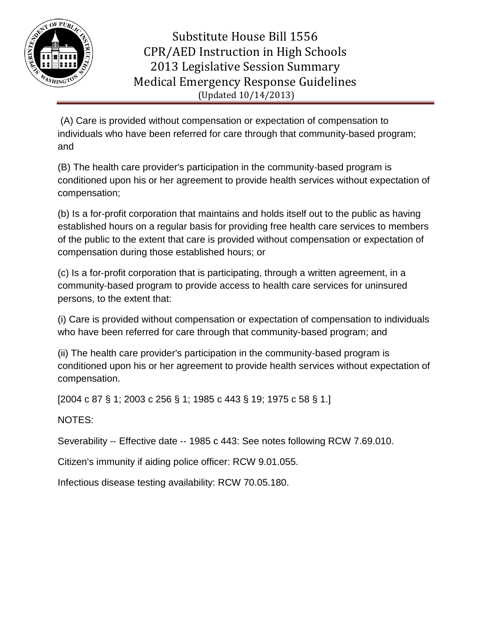

(A) Care is provided without compensation or expectation of compensation to individuals who have been referred for care through that community‐based program; and

(B) The health care provider's participation in the community‐based program is conditioned upon his or her agreement to provide health services without expectation of compensation;

(b) Is a for‐profit corporation that maintains and holds itself out to the public as having established hours on a regular basis for providing free health care services to members of the public to the extent that care is provided without compensation or expectation of compensation during those established hours; or

(c) Is a for‐profit corporation that is participating, through a written agreement, in a community‐based program to provide access to health care services for uninsured persons, to the extent that:

(i) Care is provided without compensation or expectation of compensation to individuals who have been referred for care through that community-based program; and

(ii) The health care provider's participation in the community‐based program is conditioned upon his or her agreement to provide health services without expectation of compensation.

[2004 c 87 § 1; 2003 c 256 § 1; 1985 c 443 § 19; 1975 c 58 § 1.]

NOTES:

Severability -- Effective date -- 1985 c 443: See notes following RCW 7.69.010.

Citizen's immunity if aiding police officer: RCW 9.01.055.

Infectious disease testing availability: RCW 70.05.180.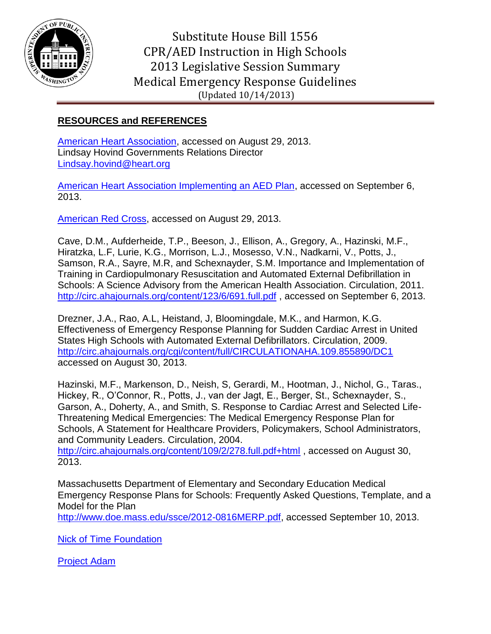

#### **RESOURCES and REFERENCES**

[American Heart Association,](http://www.heart.org/HEARTORG/) accessed on August 29, 2013. Lindsay Hovind Governments Relations Director [Lindsay.hovind@heart.org](mailto:Lindsay.hovind@heart.org)

[American Heart Association Implementing an AED Plan,](http://www.heart.org/idc/groups/heart-public/@wcm/@ecc/documents/downloadable/ucm_455415.pdf) accessed on September 6, 2013.

[American Red Cross,](http://www.redcross.org/) accessed on August 29, 2013.

Cave, D.M., Aufderheide, T.P., Beeson, J., Ellison, A., Gregory, A., Hazinski, M.F., Hiratzka, L.F, Lurie, K.G., Morrison, L.J., Mosesso, V.N., Nadkarni, V., Potts, J., Samson, R.A., Sayre, M.R, and Schexnayder, S.M. Importance and Implementation of Training in Cardiopulmonary Resuscitation and Automated External Defibrillation in Schools: A Science Advisory from the American Health Association. Circulation, 2011. <http://circ.ahajournals.org/content/123/6/691.full.pdf> , accessed on September 6, 2013.

Drezner, J.A., Rao, A.L, Heistand, J, Bloomingdale, M.K., and Harmon, K.G. Effectiveness of Emergency Response Planning for Sudden Cardiac Arrest in United States High Schools with Automated External Defibrillators. Circulation, 2009. <http://circ.ahajournals.org/cgi/content/full/CIRCULATIONAHA.109.855890/DC1> accessed on August 30, 2013.

Hazinski, M.F., Markenson, D., Neish, S, Gerardi, M., Hootman, J., Nichol, G., Taras., Hickey, R., O'Connor, R., Potts, J., van der Jagt, E., Berger, St., Schexnayder, S., Garson, A., Doherty, A., and Smith, S. Response to Cardiac Arrest and Selected Life-Threatening Medical Emergencies: The Medical Emergency Response Plan for Schools, A Statement for Healthcare Providers, Policymakers, School Administrators, and Community Leaders. Circulation, 2004.

<http://circ.ahajournals.org/content/109/2/278.full.pdf+html>, accessed on August 30, 2013.

Massachusetts Department of Elementary and Secondary Education Medical Emergency Response Plans for Schools: Frequently Asked Questions, Template, and a Model for the Plan

[http://www.doe.mass.edu/ssce/2012-0816MERP.pdf,](http://www.doe.mass.edu/ssce/2012-0816MERP.pdf) accessed September 10, 2013.

[Nick of Time Foundation](http://nickoftimefoundation.org/)

[Project Adam](https://www.chw.org/display/PPF/DocID/39728/router.asp)